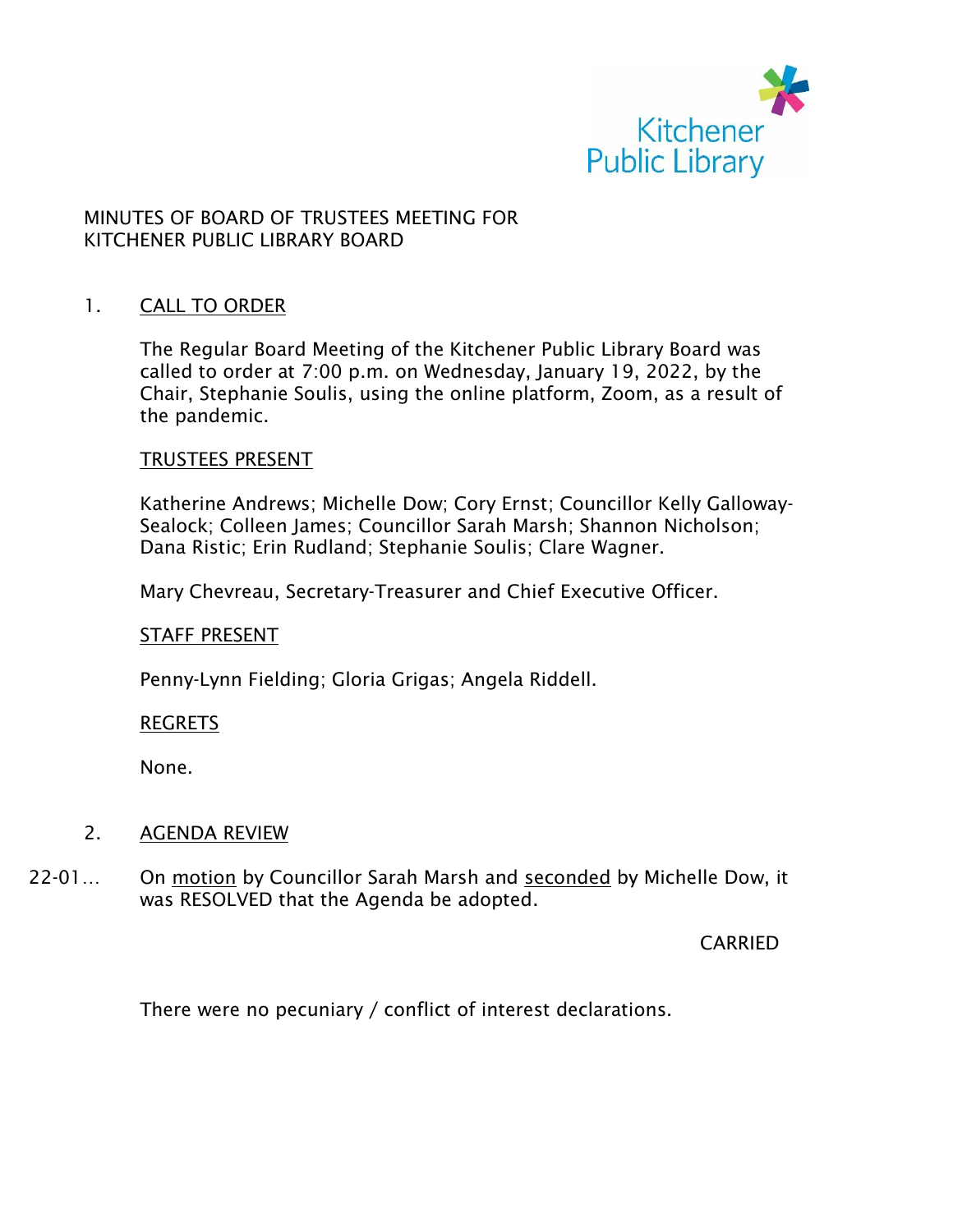

## MINUTES OF BOARD OF TRUSTEES MEETING FOR KITCHENER PUBLIC LIBRARY BOARD

#### 1. CALL TO ORDER

The Regular Board Meeting of the Kitchener Public Library Board was called to order at 7:00 p.m. on Wednesday, January 19, 2022, by the Chair, Stephanie Soulis, using the online platform, Zoom, as a result of the pandemic.

#### TRUSTEES PRESENT

Katherine Andrews; Michelle Dow; Cory Ernst; Councillor Kelly Galloway-Sealock; Colleen James; Councillor Sarah Marsh; Shannon Nicholson; Dana Ristic; Erin Rudland; Stephanie Soulis; Clare Wagner.

Mary Chevreau, Secretary-Treasurer and Chief Executive Officer.

#### STAFF PRESENT

Penny-Lynn Fielding; Gloria Grigas; Angela Riddell.

#### REGRETS

None.

#### 2. AGENDA REVIEW

22-01… On motion by Councillor Sarah Marsh and seconded by Michelle Dow, it was RESOLVED that the Agenda be adopted.

CARRIED

There were no pecuniary / conflict of interest declarations.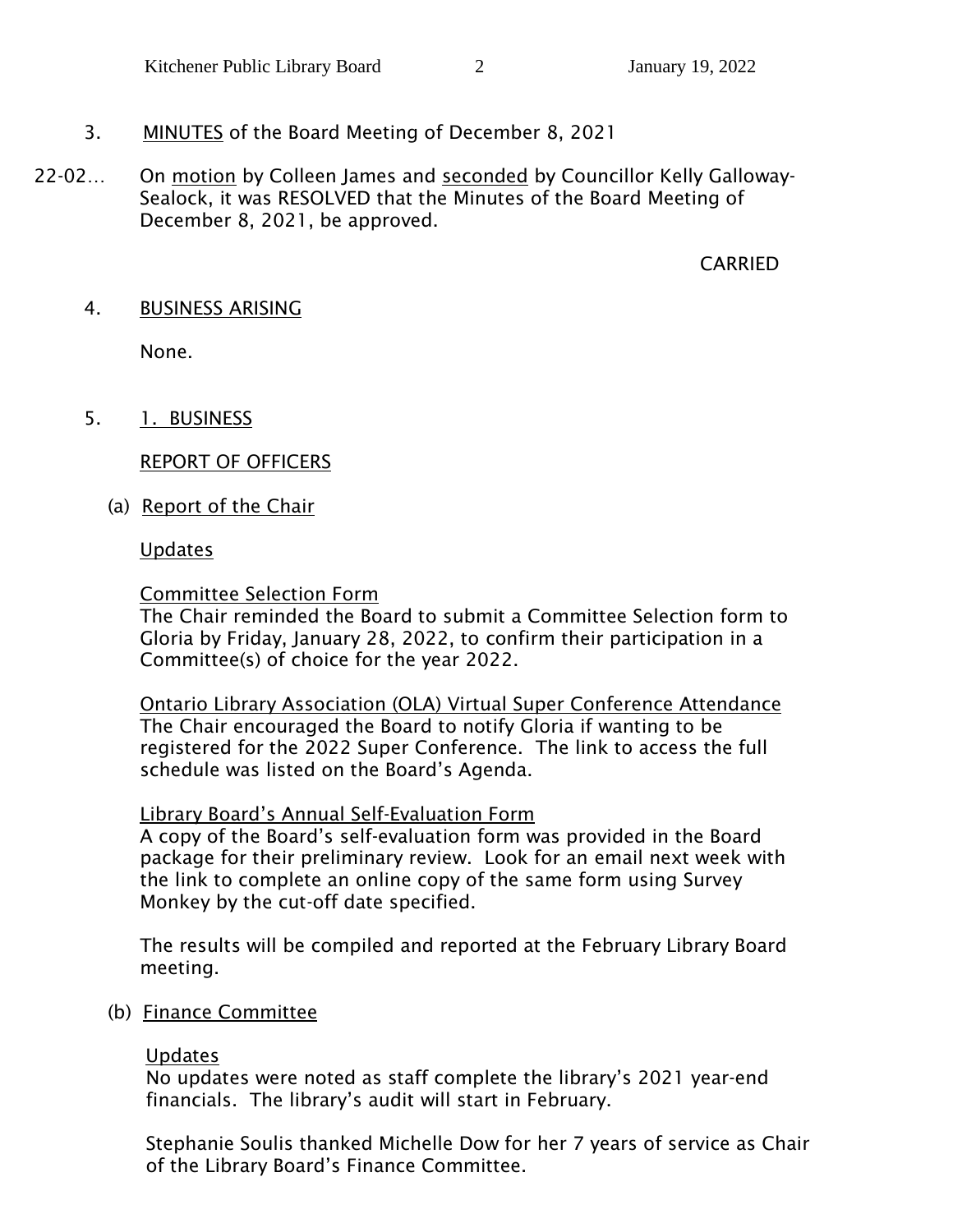# 3. MINUTES of the Board Meeting of December 8, 2021

 22-02… On motion by Colleen James and seconded by Councillor Kelly Galloway-Sealock, it was RESOLVED that the Minutes of the Board Meeting of December 8, 2021, be approved.

## CARRIED

4. BUSINESS ARISING

None.

5. 1. BUSINESS

# REPORT OF OFFICERS

(a) Report of the Chair

### Updates

# Committee Selection Form

The Chair reminded the Board to submit a Committee Selection form to Gloria by Friday, January 28, 2022, to confirm their participation in a Committee(s) of choice for the year 2022.

Ontario Library Association (OLA) Virtual Super Conference Attendance The Chair encouraged the Board to notify Gloria if wanting to be registered for the 2022 Super Conference. The link to access the full schedule was listed on the Board's Agenda.

# Library Board's Annual Self-Evaluation Form

A copy of the Board's self-evaluation form was provided in the Board package for their preliminary review. Look for an email next week with the link to complete an online copy of the same form using Survey Monkey by the cut-off date specified.

The results will be compiled and reported at the February Library Board meeting.

(b) Finance Committee

# Updates

No updates were noted as staff complete the library's 2021 year-end financials. The library's audit will start in February.

Stephanie Soulis thanked Michelle Dow for her 7 years of service as Chair of the Library Board's Finance Committee.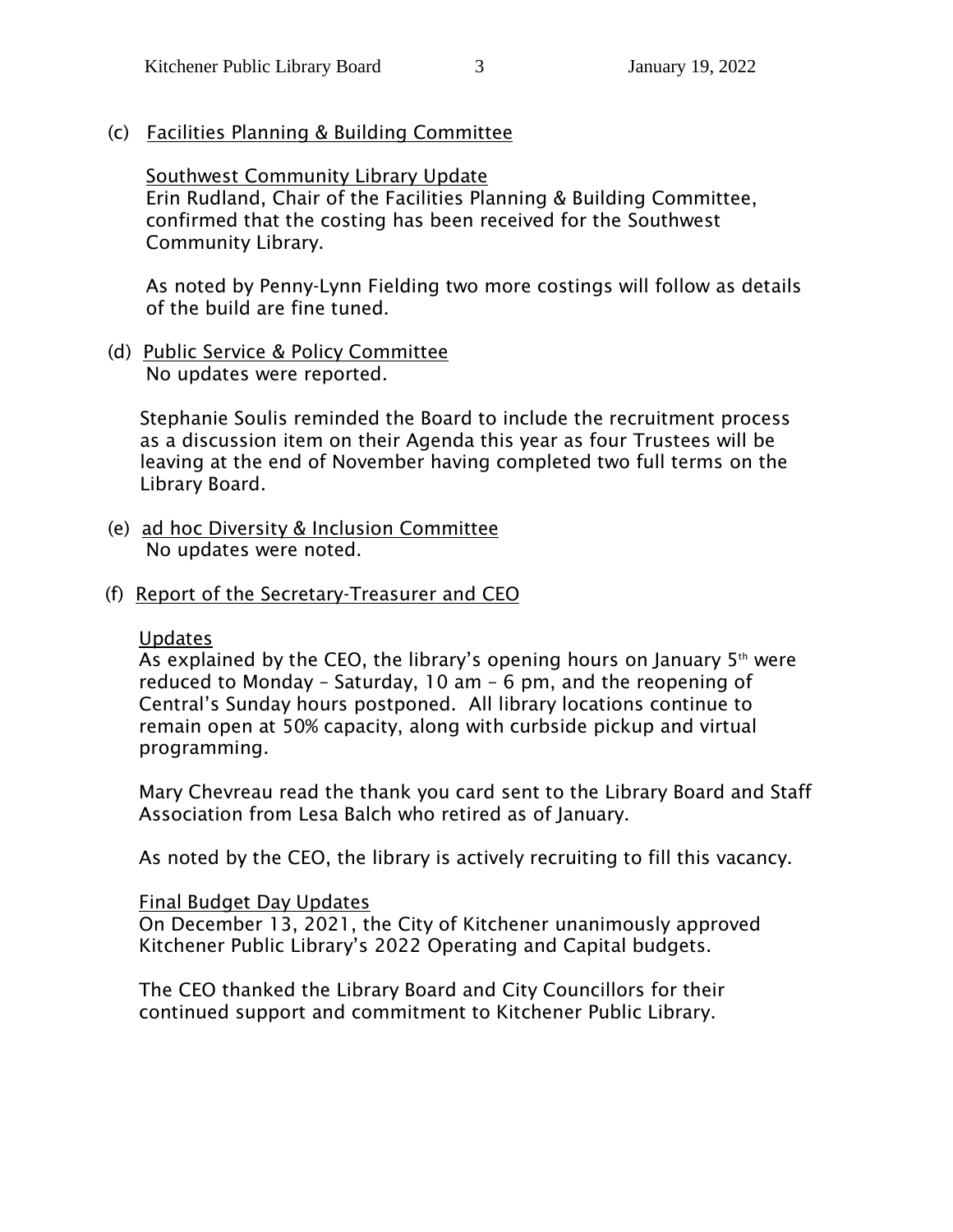(c) Facilities Planning & Building Committee

Southwest Community Library Update

Erin Rudland, Chair of the Facilities Planning & Building Committee, confirmed that the costing has been received for the Southwest Community Library.

As noted by Penny-Lynn Fielding two more costings will follow as details of the build are fine tuned.

 (d) Public Service & Policy Committee No updates were reported.

Stephanie Soulis reminded the Board to include the recruitment process as a discussion item on their Agenda this year as four Trustees will be leaving at the end of November having completed two full terms on the Library Board.

- (e) ad hoc Diversity & Inclusion Committee No updates were noted.
- (f) Report of the Secretary-Treasurer and CEO

#### Updates

As explained by the CEO, the library's opening hours on January  $5<sup>th</sup>$  were reduced to Monday – Saturday, 10 am – 6 pm, and the reopening of Central's Sunday hours postponed. All library locations continue to remain open at 50% capacity, along with curbside pickup and virtual programming.

Mary Chevreau read the thank you card sent to the Library Board and Staff Association from Lesa Balch who retired as of January.

As noted by the CEO, the library is actively recruiting to fill this vacancy.

#### Final Budget Day Updates

On December 13, 2021, the City of Kitchener unanimously approved Kitchener Public Library's 2022 Operating and Capital budgets.

The CEO thanked the Library Board and City Councillors for their continued support and commitment to Kitchener Public Library.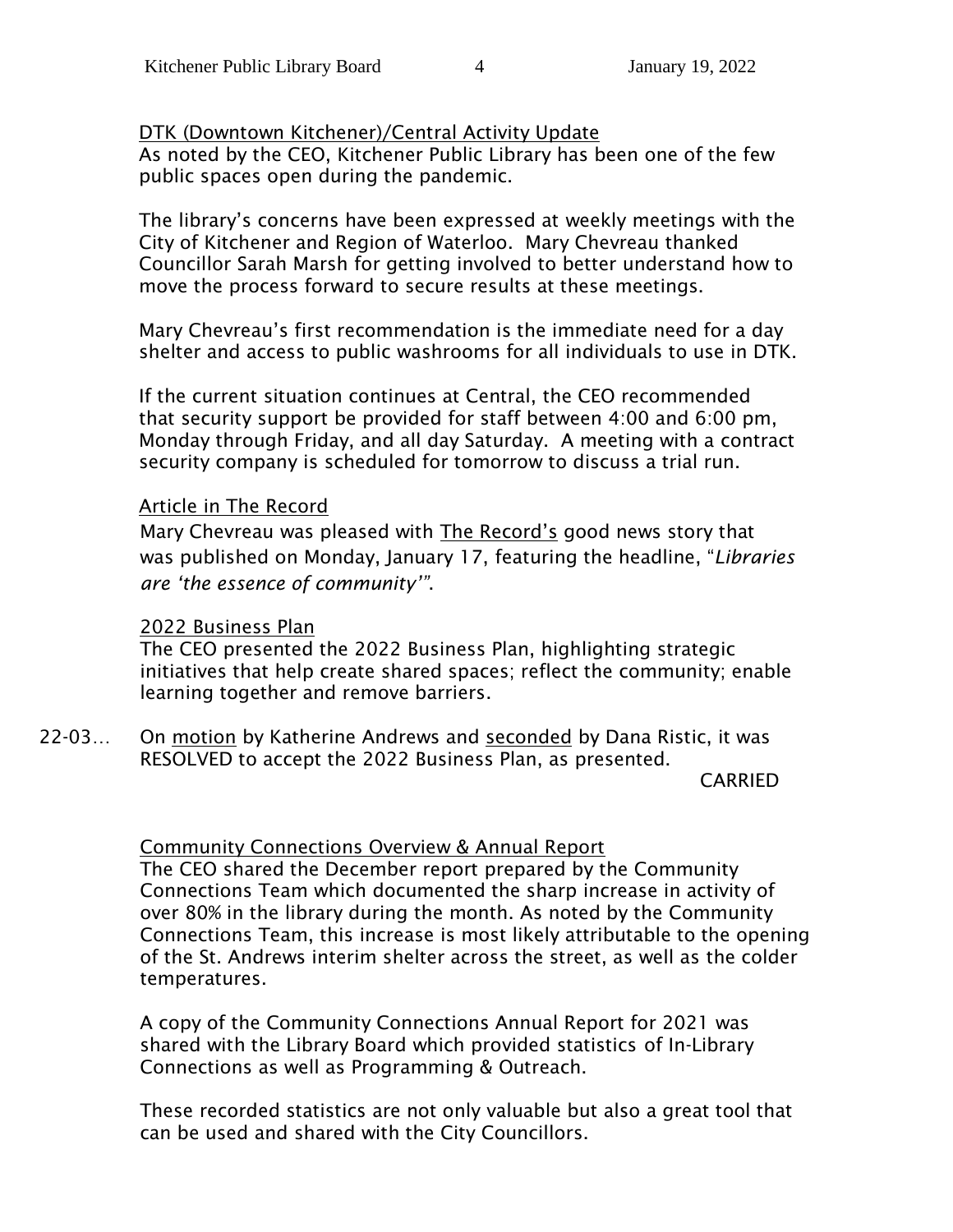# DTK (Downtown Kitchener)/Central Activity Update

As noted by the CEO, Kitchener Public Library has been one of the few public spaces open during the pandemic.

The library's concerns have been expressed at weekly meetings with the City of Kitchener and Region of Waterloo. Mary Chevreau thanked Councillor Sarah Marsh for getting involved to better understand how to move the process forward to secure results at these meetings.

Mary Chevreau's first recommendation is the immediate need for a day shelter and access to public washrooms for all individuals to use in DTK.

If the current situation continues at Central, the CEO recommended that security support be provided for staff between 4:00 and 6:00 pm, Monday through Friday, and all day Saturday. A meeting with a contract security company is scheduled for tomorrow to discuss a trial run.

#### Article in The Record

Mary Chevreau was pleased with The Record's good news story that was published on Monday, January 17, featuring the headline, "*Libraries are 'the essence of community'"*.

#### 2022 Business Plan

The CEO presented the 2022 Business Plan, highlighting strategic initiatives that help create shared spaces; reflect the community; enable learning together and remove barriers.

22-03… On motion by Katherine Andrews and seconded by Dana Ristic, it was RESOLVED to accept the 2022 Business Plan, as presented.

CARRIED

# Community Connections Overview & Annual Report

The CEO shared the December report prepared by the Community Connections Team which documented the sharp increase in activity of over 80% in the library during the month. As noted by the Community Connections Team, this increase is most likely attributable to the opening of the St. Andrews interim shelter across the street, as well as the colder temperatures.

A copy of the Community Connections Annual Report for 2021 was shared with the Library Board which provided statistics of In-Library Connections as well as Programming & Outreach.

These recorded statistics are not only valuable but also a great tool that can be used and shared with the City Councillors.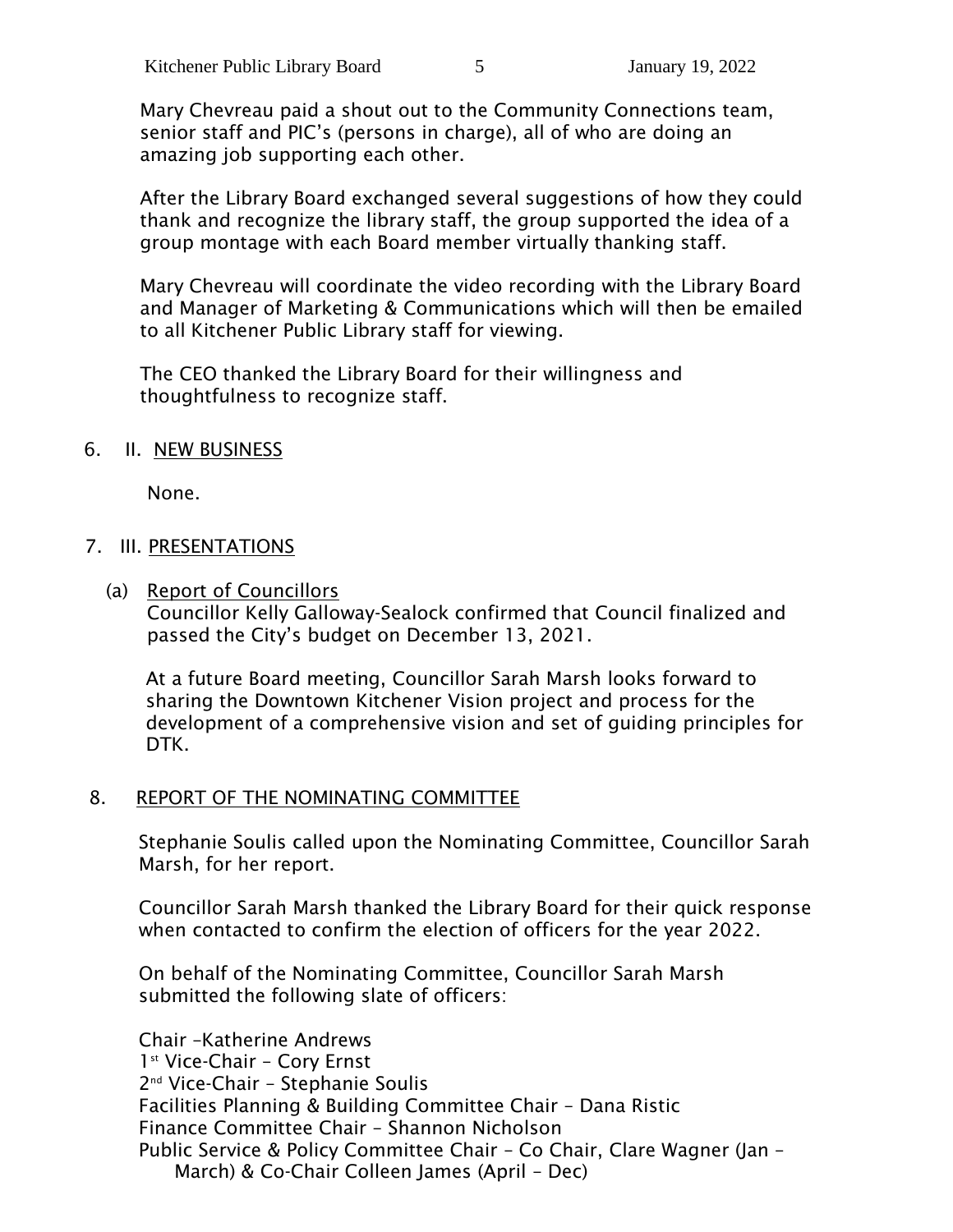Mary Chevreau paid a shout out to the Community Connections team, senior staff and PIC's (persons in charge), all of who are doing an amazing job supporting each other.

After the Library Board exchanged several suggestions of how they could thank and recognize the library staff, the group supported the idea of a group montage with each Board member virtually thanking staff.

Mary Chevreau will coordinate the video recording with the Library Board and Manager of Marketing & Communications which will then be emailed to all Kitchener Public Library staff for viewing.

The CEO thanked the Library Board for their willingness and thoughtfulness to recognize staff.

#### 6. II. NEW BUSINESS

None.

#### 7. III. PRESENTATIONS

(a) Report of Councillors

Councillor Kelly Galloway-Sealock confirmed that Council finalized and passed the City's budget on December 13, 2021.

At a future Board meeting, Councillor Sarah Marsh looks forward to sharing the Downtown Kitchener Vision project and process for the development of a comprehensive vision and set of guiding principles for DTK.

#### 8. REPORT OF THE NOMINATING COMMITTEE

Stephanie Soulis called upon the Nominating Committee, Councillor Sarah Marsh, for her report.

Councillor Sarah Marsh thanked the Library Board for their quick response when contacted to confirm the election of officers for the year 2022.

On behalf of the Nominating Committee, Councillor Sarah Marsh submitted the following slate of officers:

Chair –Katherine Andrews 1 st Vice-Chair – Cory Ernst 2 nd Vice-Chair – Stephanie Soulis Facilities Planning & Building Committee Chair – Dana Ristic Finance Committee Chair – Shannon Nicholson Public Service & Policy Committee Chair – Co Chair, Clare Wagner (Jan – March) & Co-Chair Colleen James (April – Dec)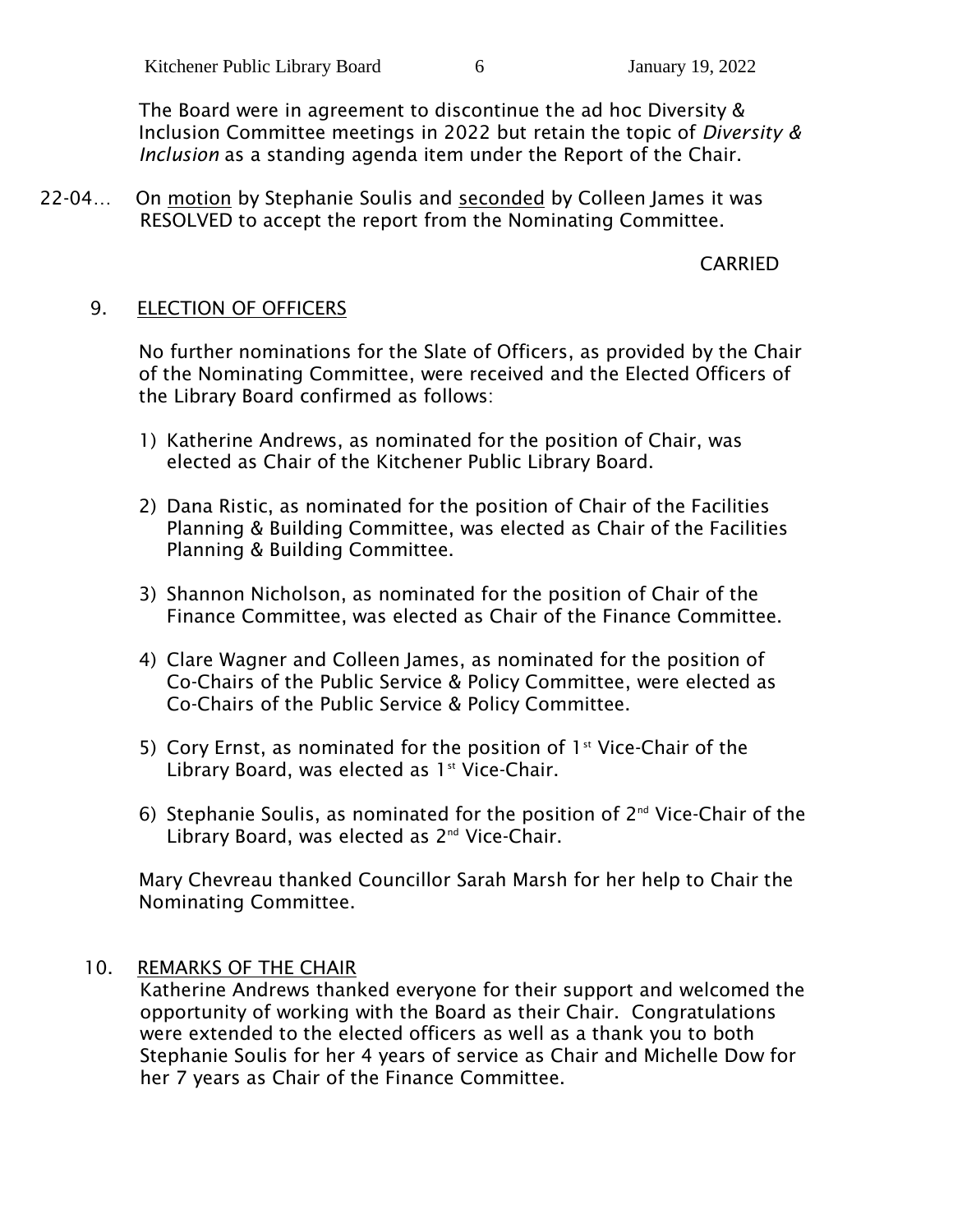The Board were in agreement to discontinue the ad hoc Diversity & Inclusion Committee meetings in 2022 but retain the topic of *Diversity & Inclusion* as a standing agenda item under the Report of the Chair.

22-04… On motion by Stephanie Soulis and seconded by Colleen James it was RESOLVED to accept the report from the Nominating Committee.

# CARRIED

# 9. ELECTION OF OFFICERS

No further nominations for the Slate of Officers, as provided by the Chair of the Nominating Committee, were received and the Elected Officers of the Library Board confirmed as follows:

- 1) Katherine Andrews, as nominated for the position of Chair, was elected as Chair of the Kitchener Public Library Board.
- 2) Dana Ristic, as nominated for the position of Chair of the Facilities Planning & Building Committee, was elected as Chair of the Facilities Planning & Building Committee.
- 3) Shannon Nicholson, as nominated for the position of Chair of the Finance Committee, was elected as Chair of the Finance Committee.
- 4) Clare Wagner and Colleen James, as nominated for the position of Co-Chairs of the Public Service & Policy Committee, were elected as Co-Chairs of the Public Service & Policy Committee.
- 5) Cory Ernst, as nominated for the position of  $1<sup>st</sup>$  Vice-Chair of the Library Board, was elected as  $1<sup>st</sup>$  Vice-Chair.
- 6) Stephanie Soulis, as nominated for the position of 2nd Vice-Chair of the Library Board, was elected as 2<sup>nd</sup> Vice-Chair.

Mary Chevreau thanked Councillor Sarah Marsh for her help to Chair the Nominating Committee.

# 10. REMARKS OF THE CHAIR

Katherine Andrews thanked everyone for their support and welcomed the opportunity of working with the Board as their Chair. Congratulations were extended to the elected officers as well as a thank you to both Stephanie Soulis for her 4 years of service as Chair and Michelle Dow for her 7 years as Chair of the Finance Committee.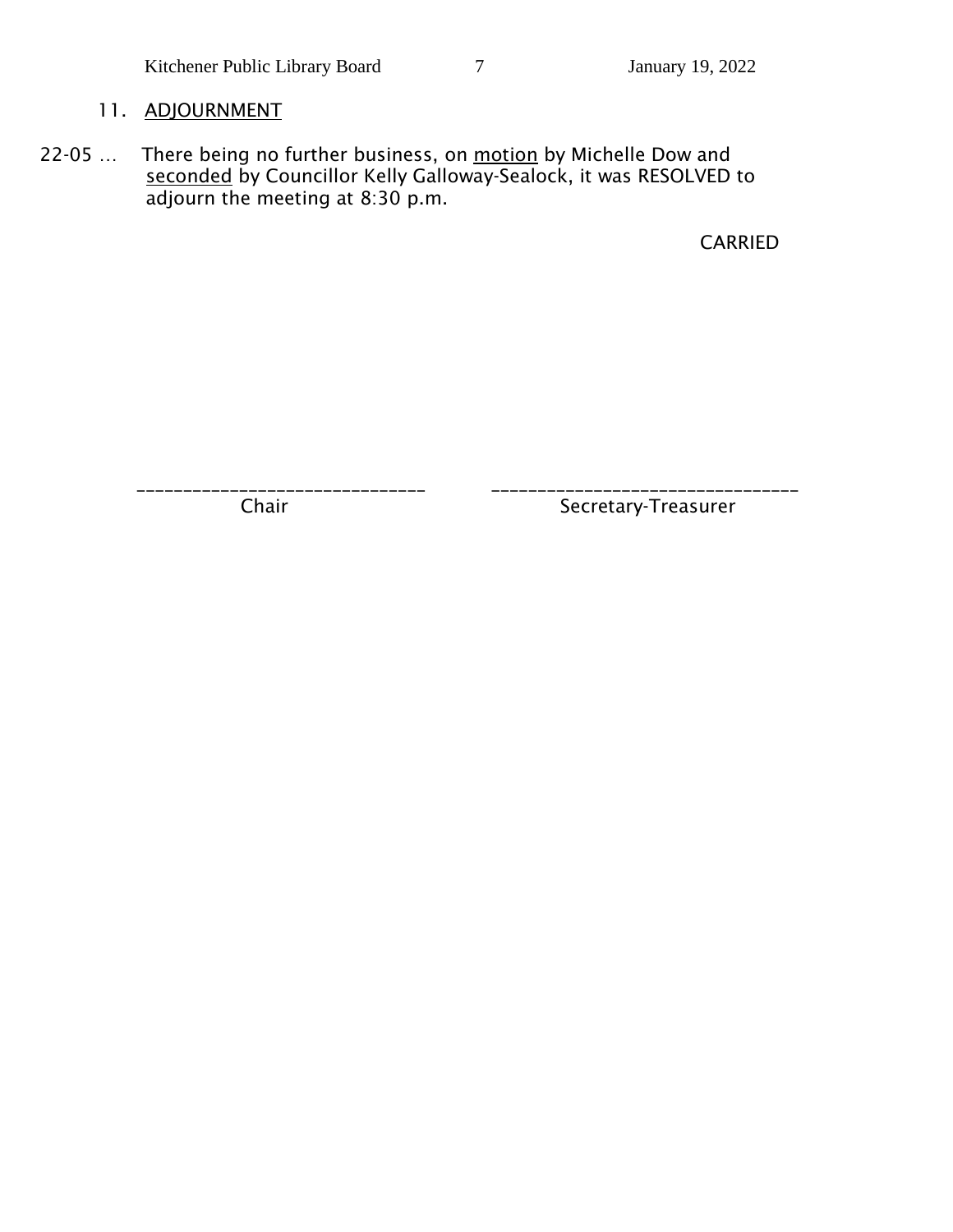# 11. ADJOURNMENT

22-05 ... There being no further business, on motion by Michelle Dow and seconded by Councillor Kelly Galloway-Sealock, it was RESOLVED to adjourn the meeting at 8:30 p.m.

CARRIED

\_\_\_\_\_\_\_\_\_\_\_\_\_\_\_\_\_\_\_\_\_\_\_\_\_\_\_\_\_\_\_ \_\_\_\_\_\_\_\_\_\_\_\_\_\_\_\_\_\_\_\_\_\_\_\_\_\_\_\_\_\_\_\_\_

Chair Secretary-Treasurer